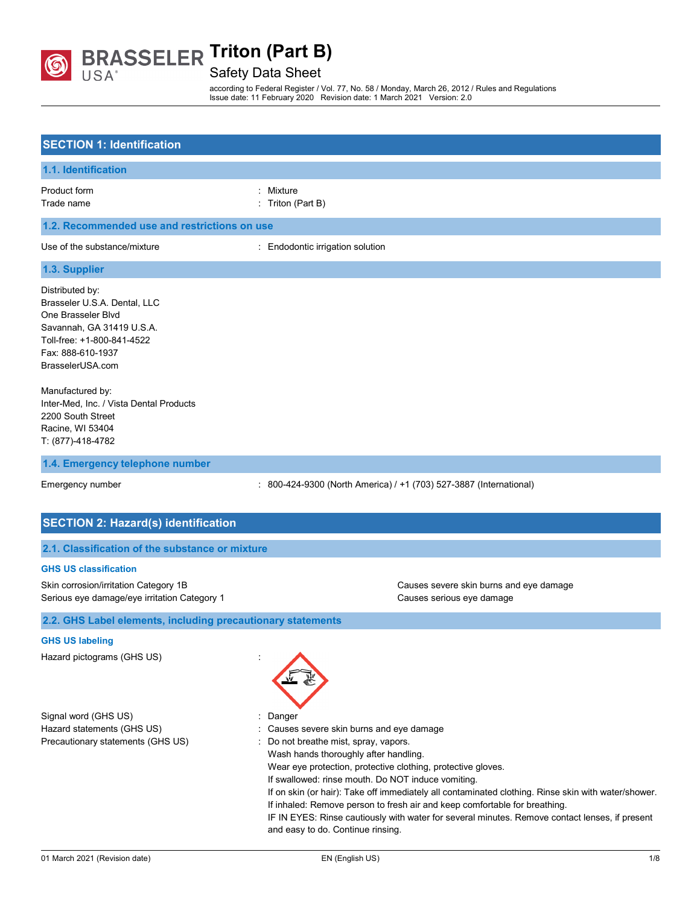

## Safety Data Sheet

according to Federal Register / Vol. 77, No. 58 / Monday, March 26, 2012 / Rules and Regulations Issue date: 11 February 2020 Revision date: 1 March 2021 Version: 2.0

| <b>SECTION 1: Identification</b>                                                                                                                                          |                                                                                                                                                                                                                                                                                                                                                                                                                                                                                                                                                                                       |
|---------------------------------------------------------------------------------------------------------------------------------------------------------------------------|---------------------------------------------------------------------------------------------------------------------------------------------------------------------------------------------------------------------------------------------------------------------------------------------------------------------------------------------------------------------------------------------------------------------------------------------------------------------------------------------------------------------------------------------------------------------------------------|
| 1.1. Identification                                                                                                                                                       |                                                                                                                                                                                                                                                                                                                                                                                                                                                                                                                                                                                       |
| Product form<br>Trade name                                                                                                                                                | : Mixture<br>: Triton (Part B)                                                                                                                                                                                                                                                                                                                                                                                                                                                                                                                                                        |
| 1.2. Recommended use and restrictions on use                                                                                                                              |                                                                                                                                                                                                                                                                                                                                                                                                                                                                                                                                                                                       |
| Use of the substance/mixture                                                                                                                                              | : Endodontic irrigation solution                                                                                                                                                                                                                                                                                                                                                                                                                                                                                                                                                      |
| 1.3. Supplier                                                                                                                                                             |                                                                                                                                                                                                                                                                                                                                                                                                                                                                                                                                                                                       |
| Distributed by:<br>Brasseler U.S.A. Dental, LLC<br>One Brasseler Blvd<br>Savannah, GA 31419 U.S.A.<br>Toll-free: +1-800-841-4522<br>Fax: 888-610-1937<br>BrasselerUSA.com |                                                                                                                                                                                                                                                                                                                                                                                                                                                                                                                                                                                       |
| Manufactured by:<br>Inter-Med, Inc. / Vista Dental Products<br>2200 South Street<br>Racine, WI 53404<br>T: (877)-418-4782                                                 |                                                                                                                                                                                                                                                                                                                                                                                                                                                                                                                                                                                       |
| 1.4. Emergency telephone number                                                                                                                                           |                                                                                                                                                                                                                                                                                                                                                                                                                                                                                                                                                                                       |
| Emergency number                                                                                                                                                          | : 800-424-9300 (North America) / +1 (703) 527-3887 (International)                                                                                                                                                                                                                                                                                                                                                                                                                                                                                                                    |
| <b>SECTION 2: Hazard(s) identification</b>                                                                                                                                |                                                                                                                                                                                                                                                                                                                                                                                                                                                                                                                                                                                       |
| 2.1. Classification of the substance or mixture                                                                                                                           |                                                                                                                                                                                                                                                                                                                                                                                                                                                                                                                                                                                       |
| <b>GHS US classification</b><br>Skin corrosion/irritation Category 1B<br>Serious eye damage/eye irritation Category 1                                                     | Causes severe skin burns and eye damage<br>Causes serious eye damage                                                                                                                                                                                                                                                                                                                                                                                                                                                                                                                  |
| 2.2. GHS Label elements, including precautionary statements                                                                                                               |                                                                                                                                                                                                                                                                                                                                                                                                                                                                                                                                                                                       |
| <b>GHS US labeling</b>                                                                                                                                                    |                                                                                                                                                                                                                                                                                                                                                                                                                                                                                                                                                                                       |
| Hazard pictograms (GHS US)                                                                                                                                                |                                                                                                                                                                                                                                                                                                                                                                                                                                                                                                                                                                                       |
| Signal word (GHS US)<br>Hazard statements (GHS US)<br>Precautionary statements (GHS US)                                                                                   | Danger<br>: Causes severe skin burns and eye damage<br>Do not breathe mist, spray, vapors.<br>Wash hands thoroughly after handling.<br>Wear eye protection, protective clothing, protective gloves.<br>If swallowed: rinse mouth. Do NOT induce vomiting.<br>If on skin (or hair): Take off immediately all contaminated clothing. Rinse skin with water/shower.<br>If inhaled: Remove person to fresh air and keep comfortable for breathing.<br>IF IN EYES: Rinse cautiously with water for several minutes. Remove contact lenses, if present<br>and easy to do. Continue rinsing. |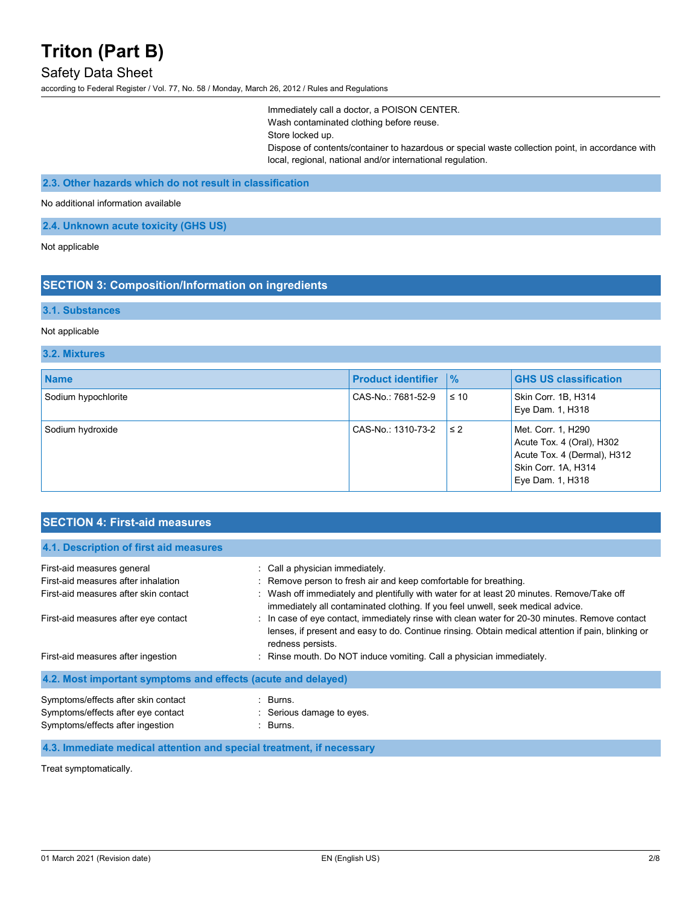## Safety Data Sheet

according to Federal Register / Vol. 77, No. 58 / Monday, March 26, 2012 / Rules and Regulations

Immediately call a doctor, a POISON CENTER. Wash contaminated clothing before reuse. Store locked up. Dispose of contents/container to hazardous or special waste collection point, in accordance with local, regional, national and/or international regulation.

## **2.3. Other hazards which do not result in classification**

No additional information available

### **2.4. Unknown acute toxicity (GHS US)**

Not applicable

## **SECTION 3: Composition/Information on ingredients**

#### **3.1. Substances**

#### Not applicable

#### **3.2. Mixtures**

| <b>Name</b>         | <b>Product identifier</b> | $\frac{1}{6}$ | <b>GHS US classification</b>                                                                                              |
|---------------------|---------------------------|---------------|---------------------------------------------------------------------------------------------------------------------------|
| Sodium hypochlorite | CAS-No.: 7681-52-9        | $\leq 10$     | Skin Corr. 1B, H314<br>Eye Dam. 1, H318                                                                                   |
| Sodium hydroxide    | CAS-No.: 1310-73-2        | $\leq 2$      | Met. Corr. 1, H290<br>Acute Tox. 4 (Oral), H302<br>Acute Tox. 4 (Dermal), H312<br>Skin Corr. 1A, H314<br>Eye Dam. 1, H318 |

| <b>SECTION 4: First-aid measures</b>                                                                          |                                                                                                                                                                                                                                                                                    |  |
|---------------------------------------------------------------------------------------------------------------|------------------------------------------------------------------------------------------------------------------------------------------------------------------------------------------------------------------------------------------------------------------------------------|--|
| 4.1. Description of first aid measures                                                                        |                                                                                                                                                                                                                                                                                    |  |
| First-aid measures general<br>First-aid measures after inhalation<br>First-aid measures after skin contact    | : Call a physician immediately.<br>Remove person to fresh air and keep comfortable for breathing.<br>: Wash off immediately and plentifully with water for at least 20 minutes. Remove/Take off<br>immediately all contaminated clothing. If you feel unwell, seek medical advice. |  |
| First-aid measures after eye contact                                                                          | : In case of eye contact, immediately rinse with clean water for 20-30 minutes. Remove contact<br>lenses, if present and easy to do. Continue rinsing. Obtain medical attention if pain, blinking or<br>redness persists.                                                          |  |
| First-aid measures after ingestion                                                                            | : Rinse mouth. Do NOT induce vomiting. Call a physician immediately.                                                                                                                                                                                                               |  |
| 4.2. Most important symptoms and effects (acute and delayed)                                                  |                                                                                                                                                                                                                                                                                    |  |
| Symptoms/effects after skin contact<br>Symptoms/effects after eye contact<br>Symptoms/effects after ingestion | : Burns.<br>: Serious damage to eyes.<br>: Burns.                                                                                                                                                                                                                                  |  |

**4.3. Immediate medical attention and special treatment, if necessary**

Treat symptomatically.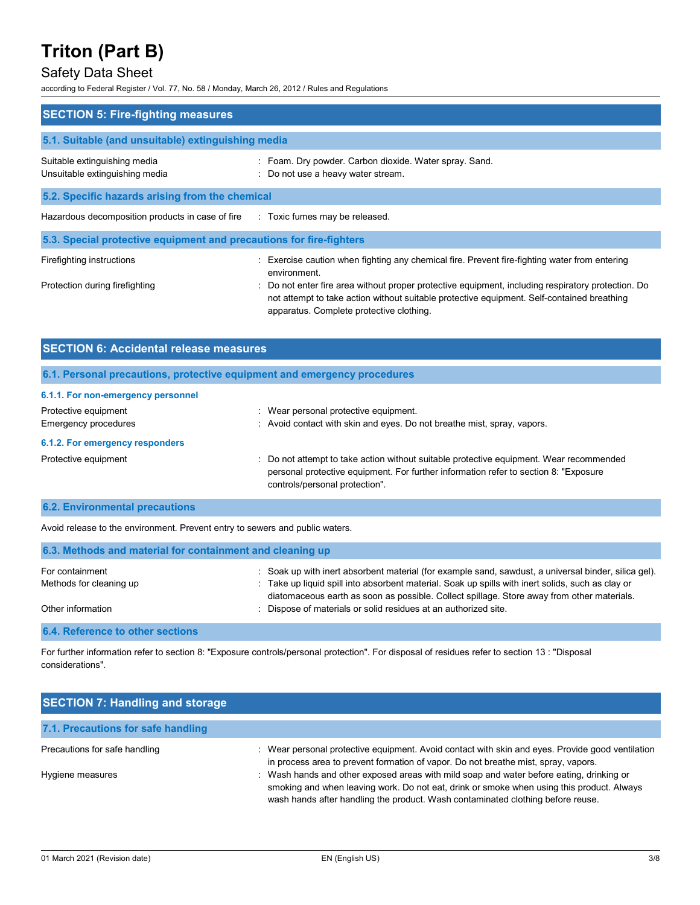## Safety Data Sheet

according to Federal Register / Vol. 77, No. 58 / Monday, March 26, 2012 / Rules and Regulations

| <b>SECTION 5: Fire-fighting measures</b>                            |                                                                                                                                                                                                                                              |
|---------------------------------------------------------------------|----------------------------------------------------------------------------------------------------------------------------------------------------------------------------------------------------------------------------------------------|
|                                                                     |                                                                                                                                                                                                                                              |
| 5.1. Suitable (and unsuitable) extinguishing media                  |                                                                                                                                                                                                                                              |
| Suitable extinguishing media<br>Unsuitable extinguishing media      | : Foam. Dry powder. Carbon dioxide. Water spray. Sand.<br>: Do not use a heavy water stream.                                                                                                                                                 |
| 5.2. Specific hazards arising from the chemical                     |                                                                                                                                                                                                                                              |
| Hazardous decomposition products in case of fire                    | : Toxic fumes may be released.                                                                                                                                                                                                               |
| 5.3. Special protective equipment and precautions for fire-fighters |                                                                                                                                                                                                                                              |
| Firefighting instructions                                           | Exercise caution when fighting any chemical fire. Prevent fire-fighting water from entering<br>environment.                                                                                                                                  |
| Protection during firefighting                                      | : Do not enter fire area without proper protective equipment, including respiratory protection. Do<br>not attempt to take action without suitable protective equipment. Self-contained breathing<br>apparatus. Complete protective clothing. |

| <b>SECTION 6: Accidental release measures</b> |                                                                                       |  |
|-----------------------------------------------|---------------------------------------------------------------------------------------|--|
|                                               | 6.1. Personal precautions, protective equipment and emergency procedures              |  |
| 6.1.1. For non-emergency personnel            |                                                                                       |  |
| Protective equipment                          | : Wear personal protective equipment.                                                 |  |
| <b>Emergency procedures</b>                   | : Avoid contact with skin and eyes. Do not breathe mist, spray, vapors.               |  |
| 6.1.2. For emergency responders               |                                                                                       |  |
| Protective equipment                          | Do not attempt to take action without suitable protective equipment. Wear recommended |  |

controls/personal protection".

personal protective equipment. For further information refer to section 8: "Exposure

### **6.2. Environmental precautions**

Avoid release to the environment. Prevent entry to sewers and public waters.

| 6.3. Methods and material for containment and cleaning up |                                                                                                                                                                                                           |  |
|-----------------------------------------------------------|-----------------------------------------------------------------------------------------------------------------------------------------------------------------------------------------------------------|--|
| For containment<br>Methods for cleaning up                | : Soak up with inert absorbent material (for example sand, sawdust, a universal binder, silica gel).<br>: Take up liquid spill into absorbent material. Soak up spills with inert solids, such as clay or |  |
| Other information                                         | diatomaceous earth as soon as possible. Collect spillage. Store away from other materials.<br>: Dispose of materials or solid residues at an authorized site.                                             |  |

### **6.4. Reference to other sections**

For further information refer to section 8: "Exposure controls/personal protection". For disposal of residues refer to section 13 : "Disposal considerations".

| <b>SECTION 7: Handling and storage</b> |                                                                                                                                                                                                                                                                          |
|----------------------------------------|--------------------------------------------------------------------------------------------------------------------------------------------------------------------------------------------------------------------------------------------------------------------------|
| 7.1. Precautions for safe handling     |                                                                                                                                                                                                                                                                          |
| Precautions for safe handling          | : Wear personal protective equipment. Avoid contact with skin and eyes. Provide good ventilation<br>in process area to prevent formation of vapor. Do not breathe mist, spray, vapors.                                                                                   |
| Hygiene measures                       | : Wash hands and other exposed areas with mild soap and water before eating, drinking or<br>smoking and when leaving work. Do not eat, drink or smoke when using this product. Always<br>wash hands after handling the product. Wash contaminated clothing before reuse. |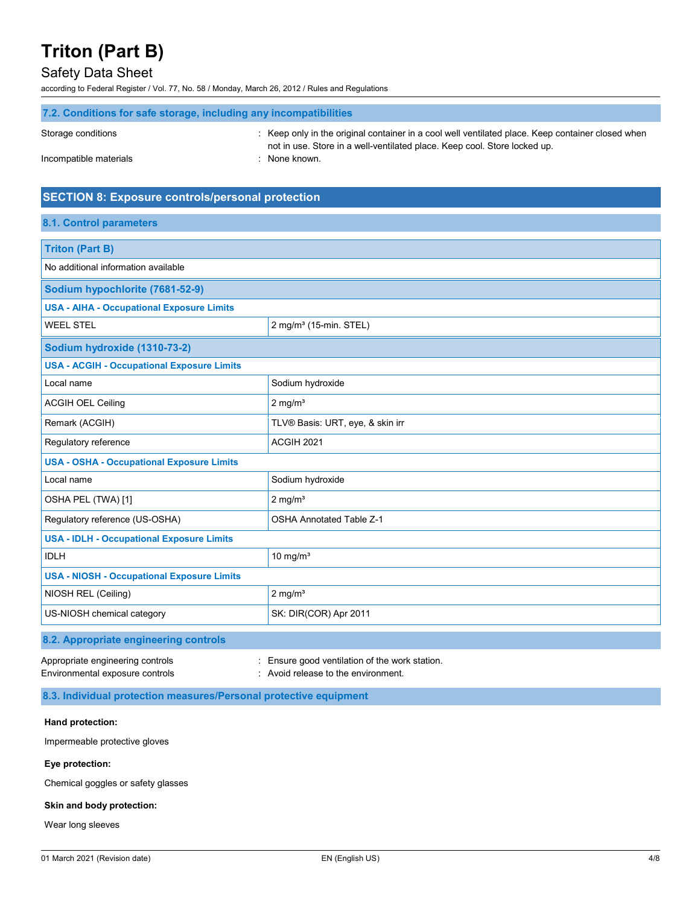## Safety Data Sheet

according to Federal Register / Vol. 77, No. 58 / Monday, March 26, 2012 / Rules and Regulations

| 7.2. Conditions for safe storage, including any incompatibilities |                                                                                                                                                                                |
|-------------------------------------------------------------------|--------------------------------------------------------------------------------------------------------------------------------------------------------------------------------|
| Storage conditions                                                | : Keep only in the original container in a cool well ventilated place. Keep container closed when<br>not in use. Store in a well-ventilated place. Keep cool. Store locked up. |
| Incompatible materials                                            | : None known.                                                                                                                                                                  |

## **SECTION 8: Exposure controls/personal protection**

### **8.1. Control parameters**

| <b>Triton (Part B)</b>                            |                                                |  |
|---------------------------------------------------|------------------------------------------------|--|
| No additional information available               |                                                |  |
| Sodium hypochlorite (7681-52-9)                   |                                                |  |
| <b>USA - AIHA - Occupational Exposure Limits</b>  |                                                |  |
| <b>WEEL STEL</b>                                  | 2 mg/m <sup>3</sup> (15-min. STEL)             |  |
| Sodium hydroxide (1310-73-2)                      |                                                |  |
| <b>USA - ACGIH - Occupational Exposure Limits</b> |                                                |  |
| Local name                                        | Sodium hydroxide                               |  |
| <b>ACGIH OEL Ceiling</b>                          | $2$ mg/m <sup>3</sup>                          |  |
| Remark (ACGIH)                                    | TLV® Basis: URT, eye, & skin irr               |  |
| Regulatory reference                              | ACGIH 2021                                     |  |
| <b>USA - OSHA - Occupational Exposure Limits</b>  |                                                |  |
| Local name                                        | Sodium hydroxide                               |  |
| OSHA PEL (TWA) [1]                                | $2$ mg/m <sup>3</sup>                          |  |
| Regulatory reference (US-OSHA)                    | <b>OSHA Annotated Table Z-1</b>                |  |
| <b>USA - IDLH - Occupational Exposure Limits</b>  |                                                |  |
| <b>IDLH</b>                                       | $10$ mg/m <sup>3</sup>                         |  |
| <b>USA - NIOSH - Occupational Exposure Limits</b> |                                                |  |
| NIOSH REL (Ceiling)                               | $2$ mg/m <sup>3</sup>                          |  |
| US-NIOSH chemical category                        | SK: DIR(COR) Apr 2011                          |  |
| 8.2. Appropriate engineering controls             |                                                |  |
| Appropriate engineering controls                  | : Ensure good ventilation of the work station. |  |

Environmental exposure controls : Avoid release to the environment.

**8.3. Individual protection measures/Personal protective equipment**

#### **Hand protection:**

Impermeable protective gloves

#### **Eye protection:**

Chemical goggles or safety glasses

#### **Skin and body protection:**

Wear long sleeves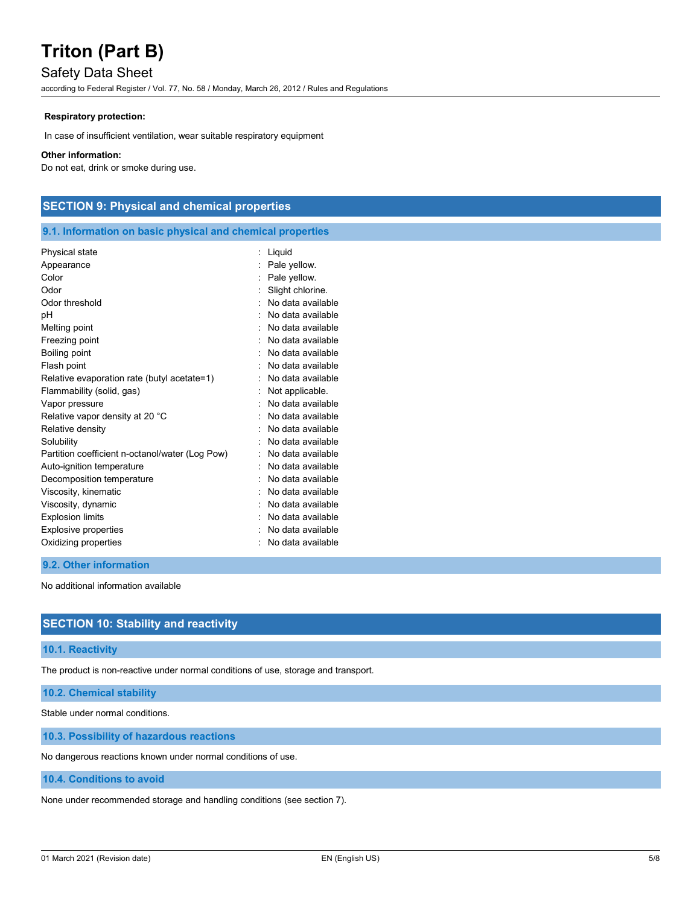### Safety Data Sheet

according to Federal Register / Vol. 77, No. 58 / Monday, March 26, 2012 / Rules and Regulations

#### **Respiratory protection:**

In case of insufficient ventilation, wear suitable respiratory equipment

#### **Other information:**

Do not eat, drink or smoke during use.

## **SECTION 9: Physical and chemical properties 9.1. Information on basic physical and chemical properties** Physical state : Liquid Appearance : Pale yellow. Color **Color Color Color Color Color Color Color Color Color Color Color Color Color Color Color Color Color Color Color Color Color Color Color Color Color Color Color** Odor : Slight chlorine. Odor threshold **in the set of the set of the set of the set of the set of the set of the set of the set of the set of the set of the set of the set of the set of the set of the set of the set of the set of the set of the s** pH : No data available Melting point **in the case of the case of the case of the case of the case of the case of the case of the case of the case of the case of the case of the case of the case of the case of the case of the case of the case of** Freezing point **in the case of the Contract Contract Contract Contract Contract Contract Contract Contract Contract Contract Contract Contract Contract Contract Contract Contract Contract Contract Contract Contract Contrac** Boiling point **in the case of the case of the case of the case of the case of the case of the case of the case of the case of the case of the case of the case of the case of the case of the case of the case of the case of** Flash point **in the case of the case of the case of the case of the case of the case of the case of the case of the case of the case of the case of the case of the case of the case of the case of the case of the case of th** Relative evaporation rate (butyl acetate=1) : No data available Flammability (solid, gas) **in the set of the set of the set of the set of the set of the set of the set of the set of the set of the set of the set of the set of the set of the set of the set of the set of the set of the s** Vapor pressure : No data available Relative vapor density at 20 °C : No data available Relative density **in the case of the COV**  $\sim$  No data available Solubility : No data available Partition coefficient n-octanol/water (Log Pow) : No data available Auto-ignition temperature **interest and the Contract Contract Auto-** : No data available Decomposition temperature **interest and the Composition temperature** in the second temperature in the second of the  $\mathbb{R}$ Viscosity, kinematic **intervalse in the Contract of Contract August** 2013. No data available Viscosity, dynamic **interest in the Contract of Contract Contract Contract Contract Contract Contract Contract Contract Contract Contract Contract Contract Contract Contract Contract Contract Contract Contract Contract Con** Explosion limits **Explosion** limits **Explosion** limits **Explosion** in the set of  $\mathbb{R}$  and  $\mathbb{R}$  and  $\mathbb{R}$  are set of  $\mathbb{R}$  and  $\mathbb{R}$  are set of  $\mathbb{R}$  and  $\mathbb{R}$  are set of  $\mathbb{R}$  and  $\mathbb{R}$  are set Explosive properties **in the set of the set of the set of the set of the set of the set of the set of the set of the set of the set of the set of the set of the set of the set of the set of the set of the set of the set of** Oxidizing properties **in the Community Community** Contract and Community Contract and Community Community Community Community Community Community Community Community Community Community Community Community Community Commun **9.2. Other information**

No additional information available

## **SECTION 10: Stability and reactivity**

#### **10.1. Reactivity**

The product is non-reactive under normal conditions of use, storage and transport.

#### **10.2. Chemical stability**

Stable under normal conditions.

#### **10.3. Possibility of hazardous reactions**

No dangerous reactions known under normal conditions of use.

### **10.4. Conditions to avoid**

None under recommended storage and handling conditions (see section 7).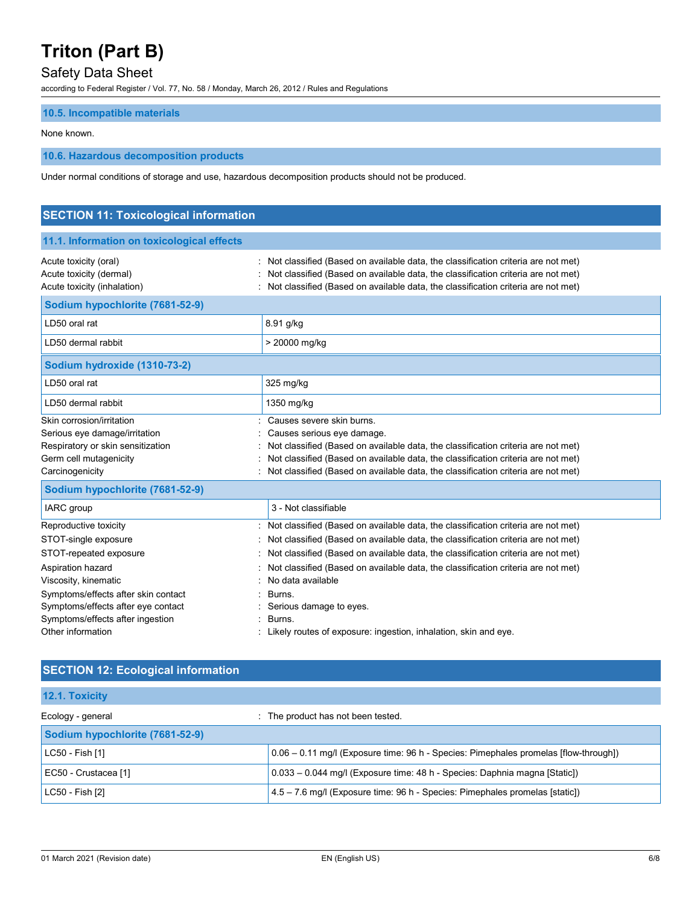## Safety Data Sheet

according to Federal Register / Vol. 77, No. 58 / Monday, March 26, 2012 / Rules and Regulations

## **10.5. Incompatible materials**

### None known.

**10.6. Hazardous decomposition products**

Under normal conditions of storage and use, hazardous decomposition products should not be produced.

| <b>SECTION 11: Toxicological information</b>                                                                                                                |                                                                                                                                                                                                                                                                                                                                                                                 |  |
|-------------------------------------------------------------------------------------------------------------------------------------------------------------|---------------------------------------------------------------------------------------------------------------------------------------------------------------------------------------------------------------------------------------------------------------------------------------------------------------------------------------------------------------------------------|--|
| 11.1. Information on toxicological effects                                                                                                                  |                                                                                                                                                                                                                                                                                                                                                                                 |  |
| Acute toxicity (oral)<br>Acute toxicity (dermal)<br>Acute toxicity (inhalation)                                                                             | Not classified (Based on available data, the classification criteria are not met)<br>Not classified (Based on available data, the classification criteria are not met)<br>: Not classified (Based on available data, the classification criteria are not met)                                                                                                                   |  |
| Sodium hypochlorite (7681-52-9)                                                                                                                             |                                                                                                                                                                                                                                                                                                                                                                                 |  |
| LD50 oral rat                                                                                                                                               | 8.91 g/kg                                                                                                                                                                                                                                                                                                                                                                       |  |
| LD50 dermal rabbit                                                                                                                                          | > 20000 mg/kg                                                                                                                                                                                                                                                                                                                                                                   |  |
| Sodium hydroxide (1310-73-2)                                                                                                                                |                                                                                                                                                                                                                                                                                                                                                                                 |  |
| LD50 oral rat                                                                                                                                               | 325 mg/kg                                                                                                                                                                                                                                                                                                                                                                       |  |
| LD50 dermal rabbit                                                                                                                                          | 1350 mg/kg                                                                                                                                                                                                                                                                                                                                                                      |  |
| Skin corrosion/irritation<br>Serious eye damage/irritation<br>Respiratory or skin sensitization<br>Germ cell mutagenicity<br>Carcinogenicity                | : Causes severe skin burns.<br>Causes serious eye damage.<br>Not classified (Based on available data, the classification criteria are not met)<br>Not classified (Based on available data, the classification criteria are not met)<br>Not classified (Based on available data, the classification criteria are not met)                                                        |  |
| Sodium hypochlorite (7681-52-9)                                                                                                                             |                                                                                                                                                                                                                                                                                                                                                                                 |  |
| IARC group                                                                                                                                                  | 3 - Not classifiable                                                                                                                                                                                                                                                                                                                                                            |  |
| Reproductive toxicity<br>STOT-single exposure<br>STOT-repeated exposure<br>Aspiration hazard<br>Viscosity, kinematic<br>Symptoms/effects after skin contact | Not classified (Based on available data, the classification criteria are not met)<br>Not classified (Based on available data, the classification criteria are not met)<br>Not classified (Based on available data, the classification criteria are not met)<br>Not classified (Based on available data, the classification criteria are not met)<br>No data available<br>Burns. |  |
| Symptoms/effects after eye contact<br>Symptoms/effects after ingestion<br>Other information                                                                 | Serious damage to eyes.<br>Burns.<br>Likely routes of exposure: ingestion, inhalation, skin and eye.                                                                                                                                                                                                                                                                            |  |

## **SECTION 12: Ecological information**

| <b>12.1. Toxicity</b>           |                                                                                        |
|---------------------------------|----------------------------------------------------------------------------------------|
| Ecology - general               | The product has not been tested.                                                       |
| Sodium hypochlorite (7681-52-9) |                                                                                        |
| LC50 - Fish [1]                 | $0.06 - 0.11$ mg/l (Exposure time: 96 h - Species: Pimephales promelas [flow-through]) |
| EC50 - Crustacea [1]            | 0.033 - 0.044 mg/l (Exposure time: 48 h - Species: Daphnia magna [Static])             |
| LC50 - Fish [2]                 | $4.5 - 7.6$ mg/l (Exposure time: 96 h - Species: Pimephales promelas [static])         |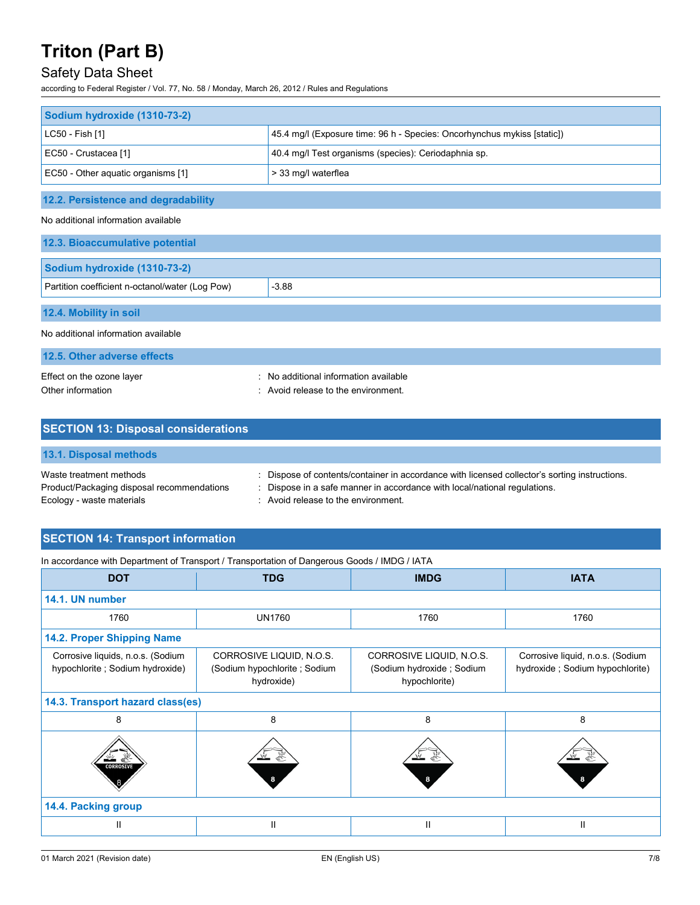## Safety Data Sheet

according to Federal Register / Vol. 77, No. 58 / Monday, March 26, 2012 / Rules and Regulations

| Sodium hydroxide (1310-73-2)        |                                                                         |  |
|-------------------------------------|-------------------------------------------------------------------------|--|
| LC50 - Fish [1]                     | 45.4 mg/l (Exposure time: 96 h - Species: Oncorhynchus mykiss [static]) |  |
| EC50 - Crustacea [1]                | 40.4 mg/l Test organisms (species): Ceriodaphnia sp.                    |  |
| EC50 - Other aquatic organisms [1]  | > 33 mg/l waterflea                                                     |  |
|                                     |                                                                         |  |
| 12.2. Persistence and degradability |                                                                         |  |
|                                     |                                                                         |  |

No additional information available

| 12.3. Bioaccumulative potential                 |         |
|-------------------------------------------------|---------|
| Sodium hydroxide (1310-73-2)                    |         |
| Partition coefficient n-octanol/water (Log Pow) | $-3.88$ |
| 12.4. Mobility in soil                          |         |

No additional information available

| 12.5. Other adverse effects |                                     |
|-----------------------------|-------------------------------------|
| Effect on the ozone layer   | No additional information available |
| Other information           | : Avoid release to the environment. |

| <b>SECTION 13: Disposal considerations</b>                                                         |                                                                                                                                                                                                                   |
|----------------------------------------------------------------------------------------------------|-------------------------------------------------------------------------------------------------------------------------------------------------------------------------------------------------------------------|
| 13.1. Disposal methods                                                                             |                                                                                                                                                                                                                   |
| Waste treatment methods<br>Product/Packaging disposal recommendations<br>Ecology - waste materials | : Dispose of contents/container in accordance with licensed collector's sorting instructions.<br>: Dispose in a safe manner in accordance with local/national regulations.<br>: Avoid release to the environment. |

## **SECTION 14: Transport information**

| In accordance with Department of Transport / Transportation of Dangerous Goods / IMDG / IATA |                                                                        |                                                                        |                                                                     |  |
|----------------------------------------------------------------------------------------------|------------------------------------------------------------------------|------------------------------------------------------------------------|---------------------------------------------------------------------|--|
| <b>DOT</b>                                                                                   | <b>TDG</b>                                                             | <b>IMDG</b>                                                            | <b>IATA</b>                                                         |  |
| 14.1. UN number                                                                              |                                                                        |                                                                        |                                                                     |  |
| 1760                                                                                         | <b>UN1760</b>                                                          | 1760                                                                   | 1760                                                                |  |
| 14.2. Proper Shipping Name                                                                   |                                                                        |                                                                        |                                                                     |  |
| Corrosive liquids, n.o.s. (Sodium<br>hypochlorite ; Sodium hydroxide)                        | CORROSIVE LIQUID, N.O.S.<br>(Sodium hypochlorite; Sodium<br>hydroxide) | CORROSIVE LIQUID, N.O.S.<br>(Sodium hydroxide; Sodium<br>hypochlorite) | Corrosive liquid, n.o.s. (Sodium<br>hydroxide; Sodium hypochlorite) |  |
| 14.3. Transport hazard class(es)                                                             |                                                                        |                                                                        |                                                                     |  |
| 8                                                                                            | 8                                                                      | 8                                                                      | 8                                                                   |  |
| <b>CORROSIVE</b>                                                                             |                                                                        |                                                                        |                                                                     |  |
| 14.4. Packing group                                                                          |                                                                        |                                                                        |                                                                     |  |
| $\mathbf{I}$                                                                                 | Ш                                                                      | $\mathbf{I}$                                                           | $\mathbf{I}$                                                        |  |